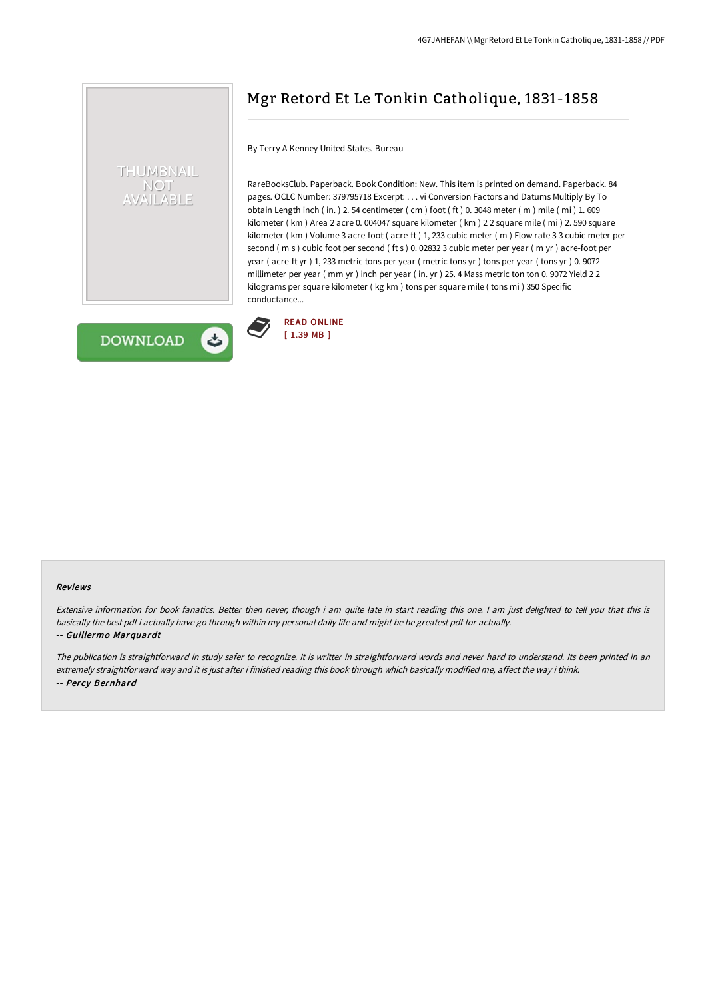

# Mgr Retord Et Le Tonkin Catholique, 1831-1858

By Terry A Kenney United States. Bureau

READ [ONLINE](http://albedo.media/mgr-retord-et-le-tonkin-catholique-1831-1858.html) [ 1.39 MB ]

RareBooksClub. Paperback. Book Condition: New. This item is printed on demand. Paperback. 84 pages. OCLC Number: 379795718 Excerpt: . . . vi Conversion Factors and Datums Multiply By To obtain Length inch ( in. ) 2. 54 centimeter ( cm ) foot ( ft ) 0. 3048 meter ( m ) mile ( mi ) 1. 609 kilometer ( km ) Area 2 acre 0. 004047 square kilometer ( km ) 2 2 square mile ( mi ) 2. 590 square kilometer ( km ) Volume 3 acre-foot ( acre-ft ) 1, 233 cubic meter ( m ) Flow rate 3 3 cubic meter per second ( m s ) cubic foot per second ( ft s ) 0. 02832 3 cubic meter per year ( m yr ) acre-foot per year ( acre-ft yr ) 1, 233 metric tons per year ( metric tons yr ) tons per year ( tons yr ) 0. 9072 millimeter per year ( mm yr ) inch per year ( in. yr ) 25. 4 Mass metric ton ton 0. 9072 Yield 2 2 kilograms per square kilometer ( kg km ) tons per square mile ( tons mi ) 350 Specific conductance...



### Reviews

Extensive information for book fanatics. Better then never, though i am quite late in start reading this one. <sup>I</sup> am just delighted to tell you that this is basically the best pdf i actually have go through within my personal daily life and might be he greatest pdf for actually. -- Guillermo Marquardt

The publication is straightforward in study safer to recognize. It is writter in straightforward words and never hard to understand. Its been printed in an extremely straightforward way and it is just after i finished reading this book through which basically modified me, affect the way i think. -- Percy Bernhard